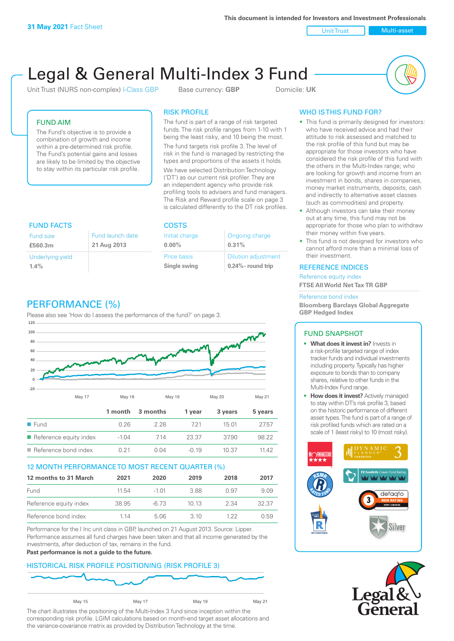Unit Trust Nulti-asset

# Legal & General Multi-Index 3 Fund

Unit Trust (NURS non-complex) I-Class GBP Base currency: **GBP** Domicile: UK



# FUND AIM

The Fund's objective is to provide a combination of growth and income within a pre-determined risk profile. The Fund's potential gains and losses are likely to be limited by the objective to stay within its particular risk profile.

# RISK PROFILE

The fund is part of a range of risk targeted funds. The risk profile ranges from 1-10 with 1 being the least risky, and 10 being the most.

The fund targets risk profile 3. The level of risk in the fund is managed by restricting the types and proportions of the assets it holds. We have selected Distribution Technology ('DT') as our current risk profiler. They are an independent agency who provide risk profiling tools to advisers and fund managers. The Risk and Reward profile scale on page 3 is calculated differently to the DT risk profiles.

| <b>FUND FACTS</b>                                              |  | <b>COSTS</b>                |                                                     |  |
|----------------------------------------------------------------|--|-----------------------------|-----------------------------------------------------|--|
| Fund launch date<br><b>Fund size</b><br>21 Aug 2013<br>£560.3m |  | Initial charge<br>$0.00\%$  | Ongoing charge<br>0.31%                             |  |
| Underlying yield<br>1.4%                                       |  | Price basis<br>Single swing | <b>Dilution adjustment</b><br>$0.24\%$ - round trip |  |

# PERFORMANCE (%)

Please also see 'How do I assess the performance of the fund?' on page 3.



# 12 MONTH PERFORMANCE TO MOST RECENT QUARTER (%)

| 12 months to 31 March  | 2021  | 2020    | 2019 | 2018 | 2017  |
|------------------------|-------|---------|------|------|-------|
| Fund                   | 11.54 | $-1.01$ | 388  | 0.97 | 9.09  |
| Reference equity index | 38.95 | -6.73   | 1013 | 2.34 | 32.37 |
| Reference bond index   | 1 14  | 5.06    | 3 10 | 1 22 | 0.59  |

Performance for the I Inc unit class in GBP, launched on 21 August 2013. Source: Lipper. Performance assumes all fund charges have been taken and that all income generated by the investments, after deduction of tax, remains in the fund.

#### **Past performance is not a guide to the future.**

# HISTORICAL RISK PROFILE POSITIONING (RISK PROFILE 3)



The chart illustrates the positioning of the Multi-Index 3 fund since inception within the corresponding risk profile. LGIM calculations based on month-end target asset allocations and the variance-covariance matrix as provided by Distribution Technology at the time.

# WHO IS THIS FUND FOR?

- This fund is primarily designed for investors: who have received advice and had their attitude to risk assessed and matched to the risk profile of this fund but may be appropriate for those investors who have considered the risk profile of this fund with the others in the Multi-Index range; who are looking for growth and income from an investment in bonds, shares in companies, money market instruments, deposits, cash and indirectly to alternative asset classes (such as commodities) and property.
- Although investors can take their money out at any time, this fund may not be appropriate for those who plan to withdraw their money within five years.
- This fund is not designed for investors who cannot afford more than a minimal loss of their investment.

# REFERENCE INDICES

Reference equity index **FTSE All World Net Tax TR GBP**

#### Reference bond index

**Bloomberg Barclays Global Aggregate GBP Hedged Index**

# FUND SNAPSHOT

- **• What does it invest in?** Invests in a risk-profile targeted range of index tracker funds and individual investments including property. Typically has higher exposure to bonds than to company shares, relative to other funds in the Multi-Index Fund range.
- **• How does it invest?** Actively managed to stay within DT's risk profile 3, based on the historic performance of different asset types. The fund is part of a range of risk profiled funds which are rated on a scale of 1 (least risky) to 10 (most risky).



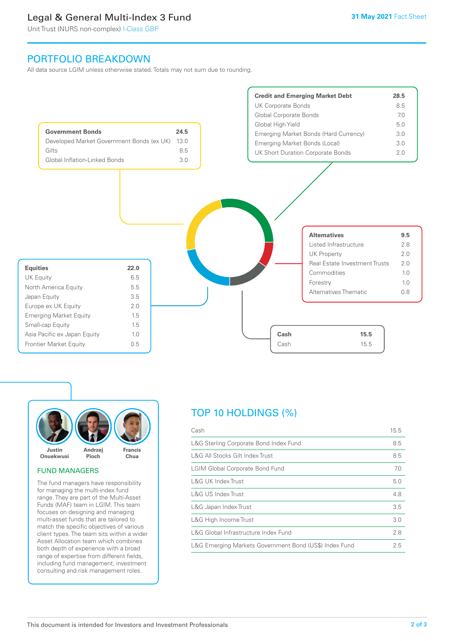# Legal & General Multi-Index 3 Fund

Unit Trust (NURS non-complex) I-Class GBP

# PORTFOLIO BREAKDOWN

All data source LGIM unless otherwise stated. Totals may not sum due to rounding.





#### FUND MANAGERS

The fund managers have responsibility for managing the multi-index fund range. They are part of the Multi-Asset Funds (MAF) team in LGIM. This team focuses on designing and managing multi-asset funds that are tailored to match the specific objectives of various client types. The team sits within a wider Asset Allocation team which combines both depth of experience with a broad range of expertise from different fields, including fund management, investment consulting and risk management roles.

# TOP 10 HOLDINGS (%)

| Cash                                                   | 15.5 |
|--------------------------------------------------------|------|
| L&G Sterling Corporate Bond Index Fund                 | 8.5  |
| L&G All Stocks Gilt Index Trust                        | 8.5  |
| <b>LGIM Global Corporate Bond Fund</b>                 | 7.0  |
| L&G UK Index Trust                                     | 5.0  |
| <b>L&amp;G US Index Trust</b>                          | 4.8  |
| L&G Japan Index Trust                                  | 3.5  |
| L&G High Income Trust                                  | 3.0  |
| L&G Global Infrastructure Index Fund                   | 2.8  |
| L&G Emerging Markets Government Bond (US\$) Index Fund | 2.5  |